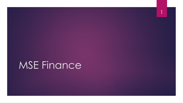# MSE Finance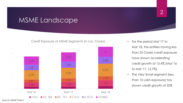### MSME Landscape



Credit Exposure of MSME Segments (in Lac Crores)

• For the period Mar'17 to Mar'18, the entities having less than 25 Crores credit exposure have shown accelerating credit growth of 15.4% (Mar'16 to Mar'17, 12.7%).

2

• The Very Small segment (less than 10 Lakh exposure) has shown credit growth of 35%

Source: MSME Pulse II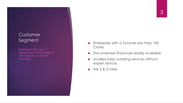### 3

#### Customer Segment

Enterprises that are "1st generation formal banking" with well documented financials.

- **Enterprises with a Turnover less than 100** Crores
- **Documented financials readily available**
- Availed basic banking services without expert advice.
- $\blacktriangleright$  Tier 2 & 3 cities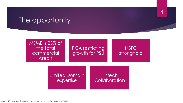### The opportunity

MSME is 23% of the total commercial credit

**PCA restricting** growth for PSU

NBFC stronghold 4

Limited Domain expertise

#### **Fintech Collaboration**

Source: 23rd meeting of standing advisory committee on MSME, RBI & MSME Pulse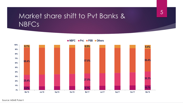### Market share shift to Pvt Banks & NBFCs



**NBFC Pvt. PSB Others**

#### Source: MSME Pulse II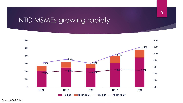### NTC MSMEs growing rapidly



6

Source: MSME Pulse II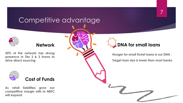## Competitive advantage

### **Network**

**50% of the network has strong presence in Tier 2 & 3 towns to drive direct sourcing**



**As retail liabilities grow our competitive margin with to NBFC will expand**

### **DNA for small loans**

**Hunger for small ticket loans is our DNA . Target loan size is lower than most banks**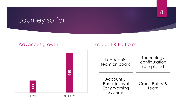### Journey so far

#### Advances growth



#### Product & Platform

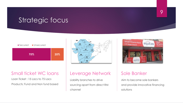### Strategic focus





Loan Ticket : 15 Lacs to 75 Lacs Products: Fund and Non fund based

### Leverage Network

 $04$ 

 $25$ 

06

· Andra Pra

 $32$ 

 $35<sub>5</sub>$ 

Liability branches to drive sourcing apart from direct RM channel



#### Sole Banker

Aim to become sole bankers and provide innovative financing solutions